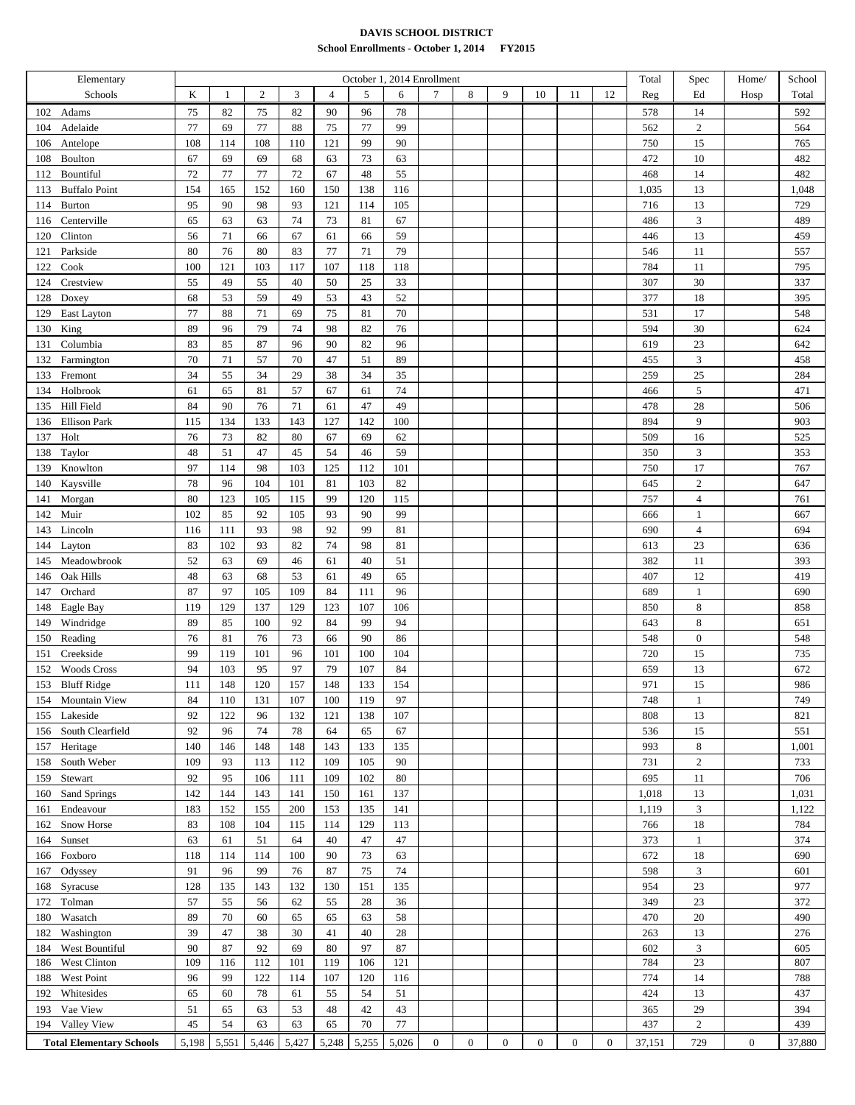## **DAVIS SCHOOL DISTRICT School Enrollments - October 1, 2014 FY2015**

| Elementary                      |       |        |                |       |                |       | October 1, 2014 Enrollment |                 |                  |                |                  |                |                  | Total  | Spec             | Home/            | School |
|---------------------------------|-------|--------|----------------|-------|----------------|-------|----------------------------|-----------------|------------------|----------------|------------------|----------------|------------------|--------|------------------|------------------|--------|
| Schools                         | K     | 1      | $\mathfrak{2}$ | 3     | $\overline{4}$ | 5     | 6                          | $7\phantom{.0}$ | 8                | 9              | 10               | 11             | 12               | Reg    | Ed               | Hosp             | Total  |
| Adams<br>102                    | 75    | 82     | 75             | 82    | 90             | 96    | 78                         |                 |                  |                |                  |                |                  | 578    | 14               |                  | 592    |
| Adelaide<br>104                 | 77    | 69     | 77             | 88    | 75             | 77    | 99                         |                 |                  |                |                  |                |                  | 562    | $\,2$            |                  | 564    |
| 106<br>Antelope                 | 108   | 114    | 108            | 110   | 121            | 99    | 90                         |                 |                  |                |                  |                |                  | 750    | 15               |                  | 765    |
| Boulton<br>108                  | 67    | 69     | 69             | 68    | 63             | 73    | 63                         |                 |                  |                |                  |                |                  | 472    | $10\,$           |                  | 482    |
| Bountiful<br>112                | 72    | 77     | 77             | 72    | 67             | 48    | 55                         |                 |                  |                |                  |                |                  | 468    | 14               |                  | 482    |
| <b>Buffalo Point</b><br>113     | 154   | 165    | 152            | 160   | 150            | 138   | 116                        |                 |                  |                |                  |                |                  | 1,035  | 13               |                  | 1,048  |
| <b>Burton</b><br>114            | 95    | 90     | 98             | 93    | 121            | 114   | 105                        |                 |                  |                |                  |                |                  | 716    | 13               |                  | 729    |
| Centerville<br>116              | 65    | 63     | 63             | 74    | 73             | 81    | 67                         |                 |                  |                |                  |                |                  | 486    | $\mathfrak{Z}$   |                  | 489    |
| Clinton<br>120                  | 56    | 71     | 66             | 67    | 61             | 66    | 59                         |                 |                  |                |                  |                |                  | 446    | 13               |                  | 459    |
| Parkside<br>121                 | 80    | 76     | 80             | 83    | 77             | 71    | 79                         |                 |                  |                |                  |                |                  | 546    | 11               |                  | 557    |
| Cook<br>122                     | 100   | 121    | 103            | 117   | 107            | 118   | 118                        |                 |                  |                |                  |                |                  | 784    | 11               |                  | 795    |
| Crestview<br>124                | 55    | 49     | 55             | 40    | 50             | 25    | 33                         |                 |                  |                |                  |                |                  | 307    | 30               |                  | 337    |
| 128<br>Doxey                    | 68    | 53     | 59             | 49    | 53             | 43    | 52                         |                 |                  |                |                  |                |                  | 377    | 18               |                  | 395    |
| East Layton<br>129              | 77    | 88     | $71\,$         | 69    | 75             | 81    | $70\,$                     |                 |                  |                |                  |                |                  | 531    | 17               |                  | 548    |
| King                            | 89    | 96     | 79             | 74    | 98             | 82    | 76                         |                 |                  |                |                  |                |                  | 594    | 30               |                  | 624    |
| 130<br>Columbia                 | 83    | 85     | 87             | 96    | 90             | 82    | 96                         |                 |                  |                |                  |                |                  | 619    | 23               |                  | 642    |
| 131                             | 70    | $71\,$ | 57             | 70    | 47             | 51    | 89                         |                 |                  |                |                  |                |                  |        | $\overline{3}$   |                  | 458    |
| Farmington<br>132               |       |        |                |       |                |       |                            |                 |                  |                |                  |                |                  | 455    |                  |                  |        |
| 133<br>Fremont                  | 34    | 55     | 34             | 29    | 38             | 34    | 35                         |                 |                  |                |                  |                |                  | 259    | 25               |                  | 284    |
| Holbrook<br>134                 | 61    | 65     | 81             | 57    | 67             | 61    | 74                         |                 |                  |                |                  |                |                  | 466    | 5                |                  | 471    |
| Hill Field<br>135               | 84    | 90     | 76             | 71    | 61             | 47    | 49                         |                 |                  |                |                  |                |                  | 478    | 28               |                  | 506    |
| Ellison Park<br>136             | 115   | 134    | 133            | 143   | 127            | 142   | 100                        |                 |                  |                |                  |                |                  | 894    | 9                |                  | 903    |
| Holt<br>137                     | 76    | 73     | 82             | 80    | 67             | 69    | 62                         |                 |                  |                |                  |                |                  | 509    | 16               |                  | 525    |
| Taylor<br>138                   | 48    | 51     | 47             | 45    | 54             | 46    | 59                         |                 |                  |                |                  |                |                  | 350    | $\mathfrak{Z}$   |                  | 353    |
| Knowlton<br>139                 | 97    | 114    | 98             | 103   | 125            | 112   | 101                        |                 |                  |                |                  |                |                  | 750    | 17               |                  | 767    |
| Kaysville<br>140                | 78    | 96     | 104            | 101   | 81             | 103   | 82                         |                 |                  |                |                  |                |                  | 645    | $\mathbf{2}$     |                  | 647    |
| Morgan<br>141                   | 80    | 123    | 105            | 115   | 99             | 120   | 115                        |                 |                  |                |                  |                |                  | 757    | $\overline{4}$   |                  | 761    |
| Muir<br>142                     | 102   | 85     | 92             | 105   | 93             | 90    | 99                         |                 |                  |                |                  |                |                  | 666    | 1                |                  | 667    |
| Lincoln<br>143                  | 116   | 111    | 93             | 98    | 92             | 99    | 81                         |                 |                  |                |                  |                |                  | 690    | $\overline{4}$   |                  | 694    |
| 144<br>Layton                   | 83    | 102    | 93             | 82    | 74             | 98    | 81                         |                 |                  |                |                  |                |                  | 613    | 23               |                  | 636    |
| Meadowbrook<br>145              | 52    | 63     | 69             | 46    | 61             | 40    | 51                         |                 |                  |                |                  |                |                  | 382    | 11               |                  | 393    |
| Oak Hills<br>146                | 48    | 63     | 68             | 53    | 61             | 49    | 65                         |                 |                  |                |                  |                |                  | 407    | 12               |                  | 419    |
| Orchard<br>147                  | 87    | 97     | 105            | 109   | 84             | 111   | 96                         |                 |                  |                |                  |                |                  | 689    | $\mathbf{1}$     |                  | 690    |
| 148<br>Eagle Bay                | 119   | 129    | 137            | 129   | 123            | 107   | 106                        |                 |                  |                |                  |                |                  | 850    | 8                |                  | 858    |
| Windridge<br>149                | 89    | 85     | 100            | 92    | 84             | 99    | 94                         |                 |                  |                |                  |                |                  | 643    | $\,8\,$          |                  | 651    |
| Reading<br>150                  | 76    | 81     | 76             | 73    | 66             | 90    | 86                         |                 |                  |                |                  |                |                  | 548    | $\boldsymbol{0}$ |                  | 548    |
| Creekside<br>151                | 99    | 119    | 101            | 96    | 101            | 100   | 104                        |                 |                  |                |                  |                |                  | 720    | 15               |                  | 735    |
| <b>Woods Cross</b><br>152       | 94    | 103    | 95             | 97    | 79             | 107   | 84                         |                 |                  |                |                  |                |                  | 659    | 13               |                  | 672    |
| 153 Bluff Ridge                 | 111   | 148    | 120            | 157   | 148            | 133   | 154                        |                 |                  |                |                  |                |                  | 971    | 15               |                  | 986    |
| 154<br><b>Mountain View</b>     | 84    | 110    | 131            | 107   | 100            | 119   | 97                         |                 |                  |                |                  |                |                  | 748    | 1                |                  | 749    |
| 155 Lakeside                    | 92    | 122    | 96             | 132   | 121            | 138   | 107                        |                 |                  |                |                  |                |                  | 808    | 13               |                  | 821    |
| 156 South Clearfield            | 92    | 96     | 74             | 78    | 64             | 65    | 67                         |                 |                  |                |                  |                |                  | 536    | 15               |                  | 551    |
| 157 Heritage                    | 140   | 146    | 148            | 148   | 143            | 133   | 135                        |                 |                  |                |                  |                |                  | 993    | 8                |                  | 1,001  |
| 158<br>South Weber              | 109   | 93     | 113            | 112   | 109            | 105   | 90                         |                 |                  |                |                  |                |                  | 731    | $\overline{c}$   |                  | 733    |
| Stewart<br>159                  | 92    | 95     | 106            | 111   | 109            | 102   | 80                         |                 |                  |                |                  |                |                  | 695    | 11               |                  | 706    |
| Sand Springs<br>160             | 142   | 144    | 143            | 141   | 150            | 161   | 137                        |                 |                  |                |                  |                |                  | 1,018  | 13               |                  | 1,031  |
| Endeavour<br>161                | 183   | 152    | 155            | 200   | 153            | 135   | 141                        |                 |                  |                |                  |                |                  | 1,119  | 3                |                  | 1,122  |
| Snow Horse<br>162               | 83    | 108    | 104            | 115   | 114            | 129   | 113                        |                 |                  |                |                  |                |                  | 766    | 18               |                  | 784    |
| Sunset<br>164                   | 63    | 61     | 51             | 64    | 40             | 47    | 47                         |                 |                  |                |                  |                |                  | 373    | $\mathbf{1}$     |                  | 374    |
| Foxboro<br>166                  | 118   | 114    | 114            | 100   | 90             | 73    | 63                         |                 |                  |                |                  |                |                  | 672    | 18               |                  | 690    |
| Odyssey<br>167                  | 91    | 96     | 99             | 76    | 87             | 75    | 74                         |                 |                  |                |                  |                |                  | 598    | 3                |                  | 601    |
| Syracuse<br>168                 | 128   | 135    | 143            | 132   | 130            | 151   | 135                        |                 |                  |                |                  |                |                  | 954    | 23               |                  | 977    |
| Tolman<br>172                   | 57    | 55     | 56             | 62    | 55             | 28    | 36                         |                 |                  |                |                  |                |                  | 349    | 23               |                  | 372    |
| 180<br>Wasatch                  | 89    | 70     | 60             | 65    | 65             | 63    | 58                         |                 |                  |                |                  |                |                  | 470    | 20               |                  | 490    |
| Washington<br>182               | 39    | 47     | 38             | 30    | 41             | 40    | 28                         |                 |                  |                |                  |                |                  | 263    | 13               |                  | 276    |
| West Bountiful<br>184           | 90    | 87     | 92             | 69    | 80             | 97    | 87                         |                 |                  |                |                  |                |                  | 602    | $\overline{3}$   |                  | 605    |
| West Clinton<br>186             | 109   | 116    | 112            | 101   | 119            | 106   | 121                        |                 |                  |                |                  |                |                  | 784    | 23               |                  | 807    |
| West Point<br>188               | 96    | 99     | 122            | 114   | 107            | 120   | 116                        |                 |                  |                |                  |                |                  | 774    | 14               |                  | 788    |
| Whitesides<br>192               | 65    | 60     | 78             | 61    | 55             | 54    | 51                         |                 |                  |                |                  |                |                  | 424    | 13               |                  | 437    |
| 193 Vae View                    | 51    | 65     | 63             | 53    | 48             | 42    | 43                         |                 |                  |                |                  |                |                  | 365    | 29               |                  | 394    |
| 194 Valley View                 | 45    | 54     | 63             | 63    | 65             | 70    | $77\,$                     |                 |                  |                |                  |                |                  | 437    | $\overline{c}$   |                  | 439    |
|                                 |       |        |                |       |                |       |                            |                 |                  |                |                  |                |                  |        |                  |                  |        |
| <b>Total Elementary Schools</b> | 5,198 | 5,551  | 5,446          | 5,427 | 5,248          | 5,255 | 5,026                      | $\overline{0}$  | $\boldsymbol{0}$ | $\overline{0}$ | $\boldsymbol{0}$ | $\overline{0}$ | $\boldsymbol{0}$ | 37,151 | 729              | $\boldsymbol{0}$ | 37,880 |